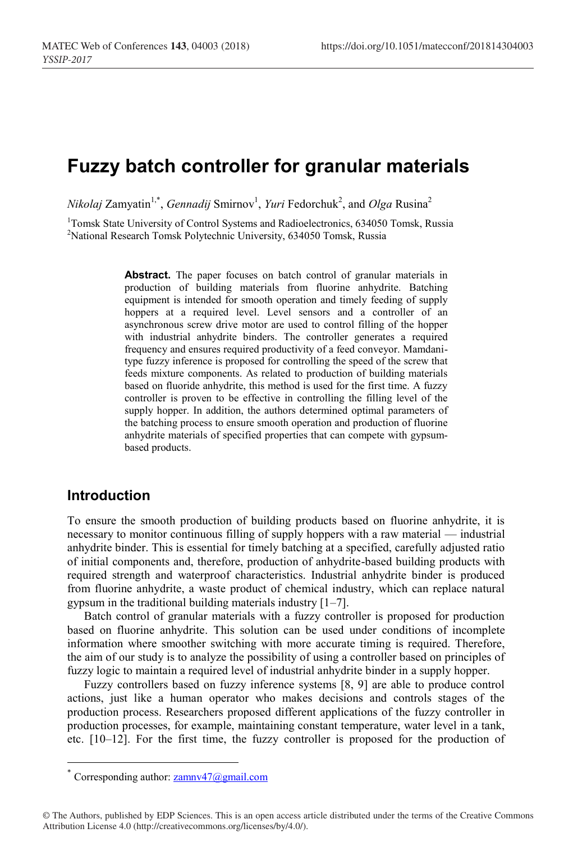# **Fuzzy batch controller for granular materials**

*Nikolaj Zamyatin<sup>1,\*</sup>, Gennadij Smirnov<sup>1</sup>, <i>Yuri Fedorchuk<sup>2</sup>, and Olga Rusina<sup>2</sup>* 

<sup>1</sup>Tomsk State University of Control Systems and Radioelectronics, 634050 Tomsk, Russia <sup>2</sup>National Research Tomsk Polytechnic University, 634050 Tomsk, Russia

> **Abstract.** The paper focuses on batch control of granular materials in production of building materials from fluorine anhydrite. Batching equipment is intended for smooth operation and timely feeding of supply hoppers at a required level. Level sensors and a controller of an asynchronous screw drive motor are used to control filling of the hopper with industrial anhydrite binders. The controller generates a required frequency and ensures required productivity of a feed conveyor. Mamdanitype fuzzy inference is proposed for controlling the speed of the screw that feeds mixture components. As related to production of building materials based on fluoride anhydrite, this method is used for the first time. A fuzzy controller is proven to be effective in controlling the filling level of the supply hopper. In addition, the authors determined optimal parameters of the batching process to ensure smooth operation and production of fluorine anhydrite materials of specified properties that can compete with gypsumbased products.

#### **Introduction**

To ensure the smooth production of building products based on fluorine anhydrite, it is necessary to monitor continuous filling of supply hoppers with a raw material — industrial anhydrite binder. This is essential for timely batching at a specified, carefully adjusted ratio of initial components and, therefore, production of anhydrite-based building products with required strength and waterproof characteristics. Industrial anhydrite binder is produced from fluorine anhydrite, a waste product of chemical industry, which can replace natural gypsum in the traditional building materials industry [1–7].

Batch control of granular materials with a fuzzy controller is proposed for production based on fluorine anhydrite. This solution can be used under conditions of incomplete information where smoother switching with more accurate timing is required. Therefore, the aim of our study is to analyze the possibility of using a controller based on principles of fuzzy logic to maintain a required level of industrial anhydrite binder in a supply hopper.

Fuzzy controllers based on fuzzy inference systems [8, 9] are able to produce control actions, just like a human operator who makes decisions and controls stages of the production process. Researchers proposed different applications of the fuzzy controller in production processes, for example, maintaining constant temperature, water level in a tank, etc. [10–12]. For the first time, the fuzzy controller is proposed for the production of

<sup>\*</sup> Corresponding author:  $zamnv47$  @gmail.com

<sup>©</sup> The Authors, published by EDP Sciences. This is an open access article distributed under the terms of the Creative Commons Attribution License 4.0 (http://creativecommons.org/licenses/by/4.0/).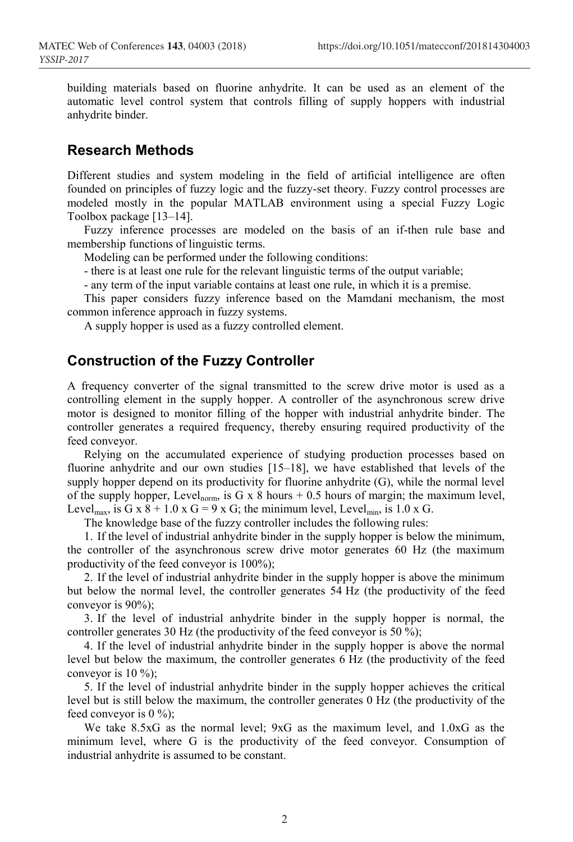building materials based on fluorine anhydrite. It can be used as an element of the automatic level control system that controls filling of supply hoppers with industrial anhydrite binder.

### **Research Methods**

Different studies and system modeling in the field of artificial intelligence are often founded on principles of fuzzy logic and the fuzzy-set theory. Fuzzy control processes are modeled mostly in the popular MATLAB environment using a special Fuzzy Logic Toolbox package [13–14].

Fuzzy inference processes are modeled on the basis of an if-then rule base and membership functions of linguistic terms.

Modeling can be performed under the following conditions:

- there is at least one rule for the relevant linguistic terms of the output variable;

- any term of the input variable contains at least one rule, in which it is a premise.

This paper considers fuzzy inference based on the Mamdani mechanism, the most common inference approach in fuzzy systems.

A supply hopper is used as a fuzzy controlled element.

### **Construction of the Fuzzy Controller**

A frequency converter of the signal transmitted to the screw drive motor is used as a controlling element in the supply hopper. A controller of the asynchronous screw drive motor is designed to monitor filling of the hopper with industrial anhydrite binder. The controller generates a required frequency, thereby ensuring required productivity of the feed conveyor.

Relying on the accumulated experience of studying production processes based on fluorine anhydrite and our own studies [15–18], we have established that levels of the supply hopper depend on its productivity for fluorine anhydrite (G), while the normal level of the supply hopper, Level<sub>norm</sub>, is G x 8 hours + 0.5 hours of margin; the maximum level, Level<sub>max</sub>, is G x 8 + 1.0 x G = 9 x G; the minimum level, Level<sub>min</sub>, is 1.0 x G.

The knowledge base of the fuzzy controller includes the following rules:

1. If the level of industrial anhydrite binder in the supply hopper is below the minimum, the controller of the asynchronous screw drive motor generates 60 Hz (the maximum productivity of the feed conveyor is 100%);

2. If the level of industrial anhydrite binder in the supply hopper is above the minimum but below the normal level, the controller generates 54 Hz (the productivity of the feed conveyor is 90%);

3. If the level of industrial anhydrite binder in the supply hopper is normal, the controller generates 30 Hz (the productivity of the feed conveyor is 50 %);

4. If the level of industrial anhydrite binder in the supply hopper is above the normal level but below the maximum, the controller generates 6 Hz (the productivity of the feed conveyor is  $10\%$ );

5. If the level of industrial anhydrite binder in the supply hopper achieves the critical level but is still below the maximum, the controller generates 0 Hz (the productivity of the feed conveyor is  $0\%$ ;

We take 8.5xG as the normal level; 9xG as the maximum level, and 1.0xG as the minimum level, where G is the productivity of the feed conveyor. Consumption of industrial anhydrite is assumed to be constant.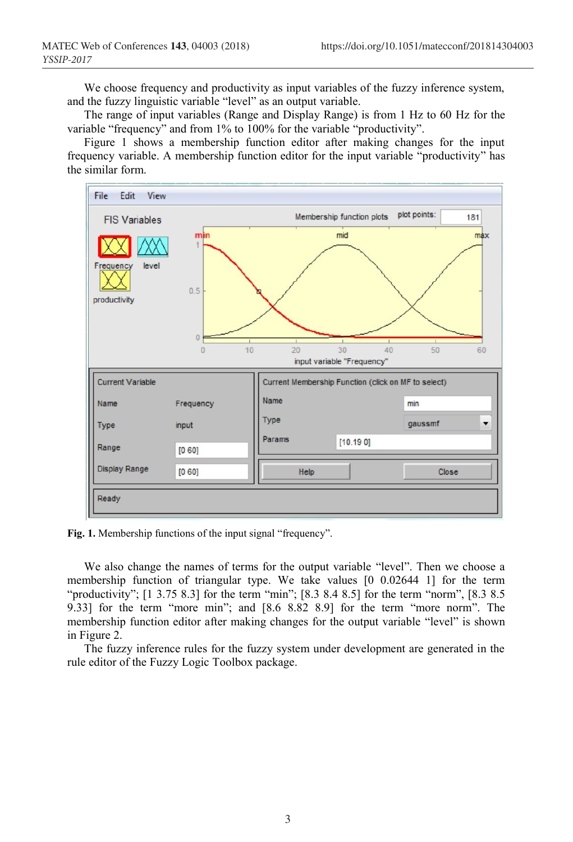We choose frequency and productivity as input variables of the fuzzy inference system, and the fuzzy linguistic variable "level" as an output variable.

The range of input variables (Range and Display Range) is from 1 Hz to 60 Hz for the variable "frequency" and from 1% to 100% for the variable "productivity".

Figure 1 shows a membership function editor after making changes for the input frequency variable. A membership function editor for the input variable "productivity" has the similar form.



**Fig. 1.** Membership functions of the input signal "frequency".

We also change the names of terms for the output variable "level". Then we choose a membership function of triangular type. We take values [0 0.02644 1] for the term "productivity"; [1 3.75 8.3] for the term "min"; [8.3 8.4 8.5] for the term "norm", [8.3 8.5] 9.33] for the term "more min"; and [8.6 8.82 8.9] for the term "more norm". The membership function editor after making changes for the output variable "level" is shown in Figure 2.

The fuzzy inference rules for the fuzzy system under development are generated in the rule editor of the Fuzzy Logic Toolbox package.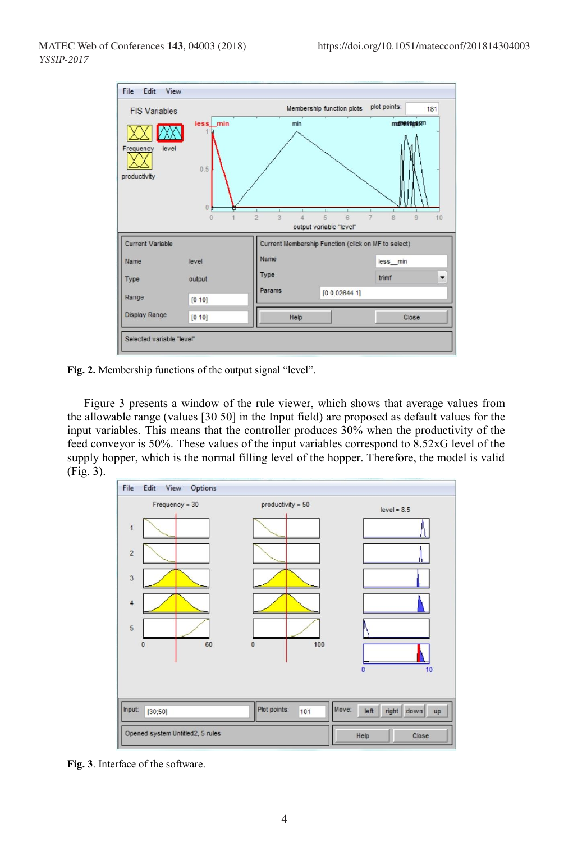

**Fig. 2.** Membership functions of the output signal "level".

Figure 3 presents a window of the rule viewer, which shows that average values from the allowable range (values [30 50] in the Input field) are proposed as default values for the input variables. This means that the controller produces 30% when the productivity of the feed conveyor is 50%. These values of the input variables correspond to 8.52xG level of the supply hopper, which is the normal filling level of the hopper. Therefore, the model is valid (Fig. 3).



**Fig. 3**. Interface of the software.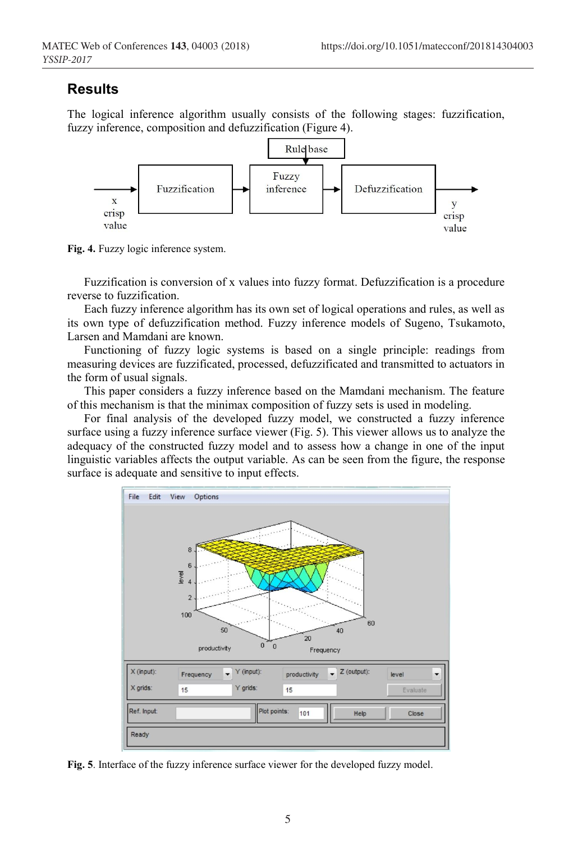#### **Results**

The logical inference algorithm usually consists of the following stages: fuzzification, fuzzy inference, composition and defuzzification (Figure 4).



**Fig. 4.** Fuzzy logic inference system.

Fuzzification is conversion of x values into fuzzy format. Defuzzification is a procedure reverse to fuzzification.

Each fuzzy inference algorithm has its own set of logical operations and rules, as well as its own type of defuzzification method. Fuzzy inference models of Sugeno, Tsukamoto, Larsen and Mamdani are known.

Functioning of fuzzy logic systems is based on a single principle: readings from measuring devices are fuzzificated, processed, defuzzificated and transmitted to actuators in the form of usual signals.

This paper considers a fuzzy inference based on the Mamdani mechanism. The feature of this mechanism is that the minimax composition of fuzzy sets is used in modeling.

For final analysis of the developed fuzzy model, we constructed a fuzzy inference surface using a fuzzy inference surface viewer (Fig. 5). This viewer allows us to analyze the adequacy of the constructed fuzzy model and to assess how a change in one of the input linguistic variables affects the output variable. As can be seen from the figure, the response surface is adequate and sensitive to input effects.



**Fig. 5**. Interface of the fuzzy inference surface viewer for the developed fuzzy model.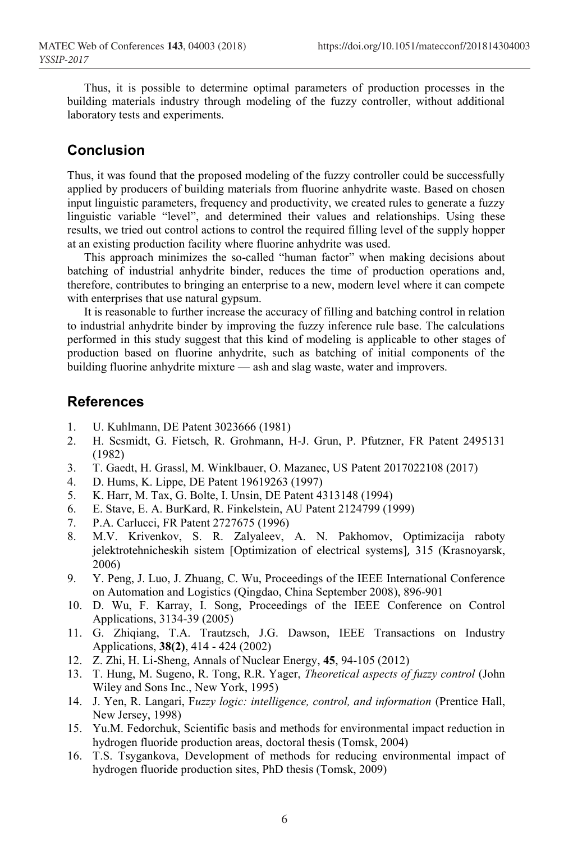Thus, it is possible to determine optimal parameters of production processes in the building materials industry through modeling of the fuzzy controller, without additional laboratory tests and experiments.

## **Conclusion**

Thus, it was found that the proposed modeling of the fuzzy controller could be successfully applied by producers of building materials from fluorine anhydrite waste. Based on chosen input linguistic parameters, frequency and productivity, we created rules to generate a fuzzy linguistic variable "level", and determined their values and relationships. Using these results, we tried out control actions to control the required filling level of the supply hopper at an existing production facility where fluorine anhydrite was used.

This approach minimizes the so-called "human factor" when making decisions about batching of industrial anhydrite binder, reduces the time of production operations and, therefore, contributes to bringing an enterprise to a new, modern level where it can compete with enterprises that use natural gypsum.

It is reasonable to further increase the accuracy of filling and batching control in relation to industrial anhydrite binder by improving the fuzzy inference rule base. The calculations performed in this study suggest that this kind of modeling is applicable to other stages of production based on fluorine anhydrite, such as batching of initial components of the building fluorine anhydrite mixture — ash and slag waste, water and improvers.

#### **References**

- 1. U. Kuhlmann, DE Patent 3023666 (1981)
- 2. H. Scsmidt, G. Fietsch, R. Grohmann, H-J. Grun, P. Pfutzner, FR Patent 2495131 (1982)
- 3. T. Gaedt, H. Grassl, M. Winklbauer, O. Mazanec, US Patent 2017022108 (2017)
- 4. D. Hums, K. Lippe, DE Patent 19619263 (1997)
- 5. K. Harr, M. Tax, G. Bolte, I. Unsin, DE Patent 4313148 (1994)
- 6. E. Stave, E. A. BurKard, R. Finkelstein, AU Patent 2124799 (1999)
- 7. P.A. Carlucci, FR Patent 2727675 (1996)
- 8. M.V. Krivenkov, S. R. Zalyaleev, A. N. Pakhomov, Optimizacija raboty jelektrotehnicheskih sistem [Optimization of electrical systems], 315 (Krasnoyarsk, 2006)
- 9. Y. Peng, J. Luo, J. Zhuang, C. Wu, Proceedings of the IEEE International Conference on Automation and Logistics (Qingdao, China September 2008), 896-901
- 10. D. Wu, F. Karray, I. Song, Proceedings of the IEEE Conference on Control Applications, 3134-39 (2005)
- 11. G. Zhiqiang, T.A. Trautzsch, J.G. Dawson, IEEE Transactions on Industry Applications, **38(2)**, 414 - 424 (2002)
- 12. Z. Zhi, H. Li-Sheng, Annals of Nuclear Energy, **45**, 94-105 (2012)
- 13. T. Hung, M. Sugeno, R. Tong, R.R. Yager, *Theoretical aspects of fuzzy control* (John Wiley and Sons Inc., New York, 1995)
- 14. J. Yen, R. Langari, F*uzzy logic: intelligence, control, and information* (Prentice Hall, New Jersey, 1998)
- 15. Yu.M. Fedorchuk, Scientific basis and methods for environmental impact reduction in hydrogen fluoride production areas, doctoral thesis (Tomsk, 2004)
- 16. T.S. Tsygankova, Development of methods for reducing environmental impact of hydrogen fluoride production sites, PhD thesis (Tomsk, 2009)